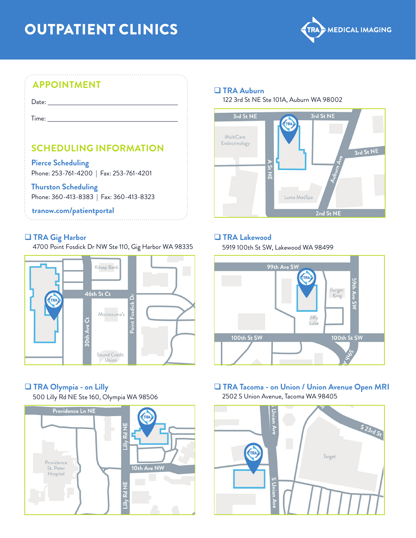# OUTPATIENT CLINICS



## **APPOINTMENT**

Date: **Date: Date: Date: Date: Date: Date: Date: Date: Date: Date: Date: Date: Date: Date: Date: Date: Date: Date: Date: Date: Date: Date: Date: Date: Date: Date: Date:**

Time: when the contract of the contract of the contract of the contract of the contract of the contract of the contract of the contract of the contract of the contract of the contract of the contract of the contract of the

## **SCHEDULING INFORMATION**

**Pierce Scheduling** Phone: 253-761-4200 | Fax: 253-761-4201

#### **Thurston Scheduling**

Phone: 360-413-8383 | Fax: 360-413-8323

#### **tranow.com/patientportal**

#### q **TRA Gig Harbor**

4700 Point Fosdick Dr NW Ste 110, Gig Harbor WA 98335



## q **TRA Olympia - on Lilly**

500 Lilly Rd NE Ste 160, Olympia WA 98506



q **TRA Auburn**

122 3rd St NE Ste 101A, Auburn WA 98002



### q **TRA Lakewood**

5919 100th St SW, Lakewood WA 98499



#### **Q TRA Tacoma - on Union / Union Avenue Open MRI** 2502 S Union Avenue, Tacoma WA 98405